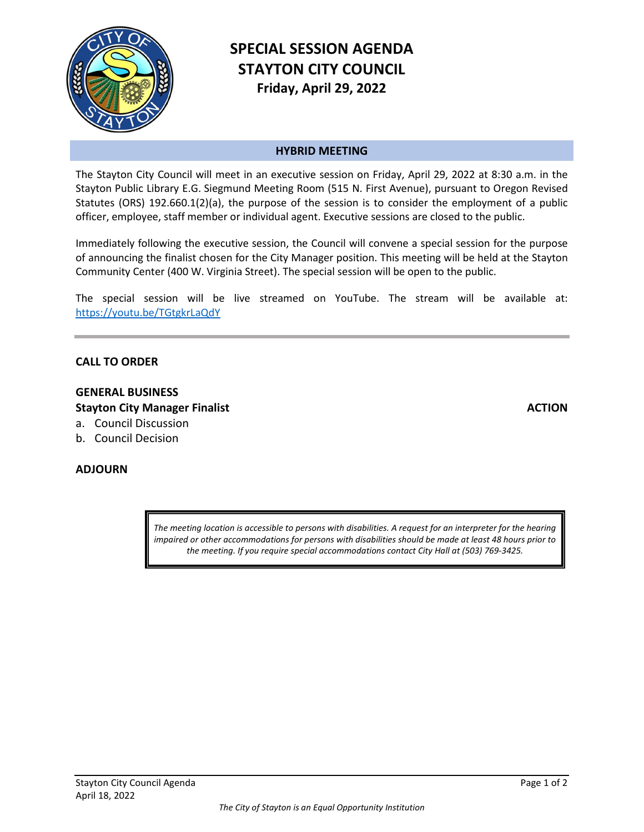

# **SPECIAL SESSION AGENDA STAYTON CITY COUNCIL Friday, April 29, 2022**

### **HYBRID MEETING**

The Stayton City Council will meet in an executive session on Friday, April 29, 2022 at 8:30 a.m. in the Stayton Public Library E.G. Siegmund Meeting Room (515 N. First Avenue), pursuant to Oregon Revised Statutes (ORS) 192.660.1(2)(a), the purpose of the session is to consider the employment of a public officer, employee, staff member or individual agent. Executive sessions are closed to the public.

Immediately following the executive session, the Council will convene a special session for the purpose of announcing the finalist chosen for the City Manager position. This meeting will be held at the Stayton Community Center (400 W. Virginia Street). The special session will be open to the public.

The special session will be live streamed on YouTube. The stream will be available at: <https://youtu.be/TGtgkrLaQdY>

#### **CALL TO ORDER**

## **GENERAL BUSINESS Stayton City Manager Finalist**

- a. Council Discussion
- b. Council Decision

#### **ADJOURN**

*The meeting location is accessible to persons with disabilities. A request for an interpreter for the hearing impaired or other accommodations for persons with disabilities should be made at least 48 hours prior to the meeting. If you require special accommodations contact City Hall at (503) 769-3425.*